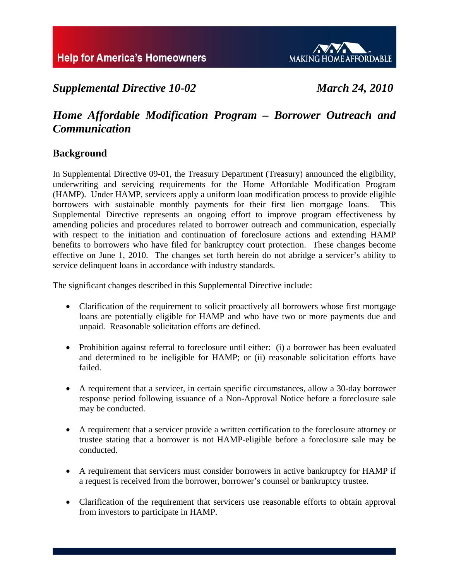

# *Supplemental Directive 10-02 March 24, 2010*

# *Home Affordable Modification Program – Borrower Outreach and Communication*

## **Background**

In Supplemental Directive 09-01, the Treasury Department (Treasury) announced the eligibility, underwriting and servicing requirements for the Home Affordable Modification Program (HAMP). Under HAMP, servicers apply a uniform loan modification process to provide eligible borrowers with sustainable monthly payments for their first lien mortgage loans. This Supplemental Directive represents an ongoing effort to improve program effectiveness by amending policies and procedures related to borrower outreach and communication, especially with respect to the initiation and continuation of foreclosure actions and extending HAMP benefits to borrowers who have filed for bankruptcy court protection. These changes become effective on June 1, 2010. The changes set forth herein do not abridge a servicer's ability to service delinquent loans in accordance with industry standards.

The significant changes described in this Supplemental Directive include:

- Clarification of the requirement to solicit proactively all borrowers whose first mortgage loans are potentially eligible for HAMP and who have two or more payments due and unpaid. Reasonable solicitation efforts are defined.
- Prohibition against referral to foreclosure until either: (i) a borrower has been evaluated and determined to be ineligible for HAMP; or (ii) reasonable solicitation efforts have failed.
- A requirement that a servicer, in certain specific circumstances, allow a 30-day borrower response period following issuance of a Non-Approval Notice before a foreclosure sale may be conducted.
- A requirement that a servicer provide a written certification to the foreclosure attorney or trustee stating that a borrower is not HAMP-eligible before a foreclosure sale may be conducted.
- A requirement that servicers must consider borrowers in active bankruptcy for HAMP if a request is received from the borrower, borrower's counsel or bankruptcy trustee.
- Clarification of the requirement that servicers use reasonable efforts to obtain approval from investors to participate in HAMP.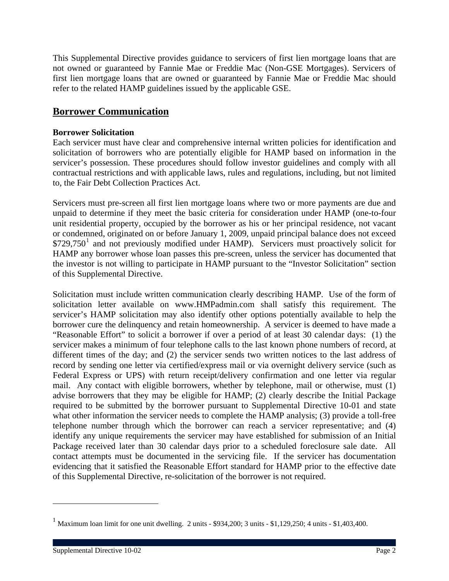This Supplemental Directive provides guidance to servicers of first lien mortgage loans that are not owned or guaranteed by Fannie Mae or Freddie Mac (Non-GSE Mortgages). Servicers of first lien mortgage loans that are owned or guaranteed by Fannie Mae or Freddie Mac should refer to the related HAMP guidelines issued by the applicable GSE.

## **Borrower Communication**

## **Borrower Solicitation**

Each servicer must have clear and comprehensive internal written policies for identification and solicitation of borrowers who are potentially eligible for HAMP based on information in the servicer's possession. These procedures should follow investor guidelines and comply with all contractual restrictions and with applicable laws, rules and regulations, including, but not limited to, the Fair Debt Collection Practices Act.

Servicers must pre-screen all first lien mortgage loans where two or more payments are due and unpaid to determine if they meet the basic criteria for consideration under HAMP (one-to-four unit residential property, occupied by the borrower as his or her principal residence, not vacant or condemned, originated on or before January 1, 2009, unpaid principal balance does not exceed  $$729,750<sup>1</sup>$  $$729,750<sup>1</sup>$  $$729,750<sup>1</sup>$  and not previously modified under HAMP). Servicers must proactively solicit for HAMP any borrower whose loan passes this pre-screen, unless the servicer has documented that the investor is not willing to participate in HAMP pursuant to the "Investor Solicitation" section of this Supplemental Directive.

Solicitation must include written communication clearly describing HAMP. Use of the form of solicitation letter available on www.HMPadmin.com shall satisfy this requirement. The servicer's HAMP solicitation may also identify other options potentially available to help the borrower cure the delinquency and retain homeownership. A servicer is deemed to have made a "Reasonable Effort" to solicit a borrower if over a period of at least 30 calendar days: (1) the servicer makes a minimum of four telephone calls to the last known phone numbers of record, at different times of the day; and (2) the servicer sends two written notices to the last address of record by sending one letter via certified/express mail or via overnight delivery service (such as Federal Express or UPS) with return receipt/delivery confirmation and one letter via regular mail. Any contact with eligible borrowers, whether by telephone, mail or otherwise, must (1) advise borrowers that they may be eligible for HAMP; (2) clearly describe the Initial Package required to be submitted by the borrower pursuant to Supplemental Directive 10-01 and state what other information the servicer needs to complete the HAMP analysis; (3) provide a toll-free telephone number through which the borrower can reach a servicer representative; and (4) identify any unique requirements the servicer may have established for submission of an Initial Package received later than 30 calendar days prior to a scheduled foreclosure sale date. All contact attempts must be documented in the servicing file. If the servicer has documentation evidencing that it satisfied the Reasonable Effort standard for HAMP prior to the effective date of this Supplemental Directive, re-solicitation of the borrower is not required.

 $\overline{a}$ 

<span id="page-1-0"></span><sup>&</sup>lt;sup>1</sup> Maximum loan limit for one unit dwelling. 2 units - \$934,200; 3 units - \$1,129,250; 4 units - \$1,403,400.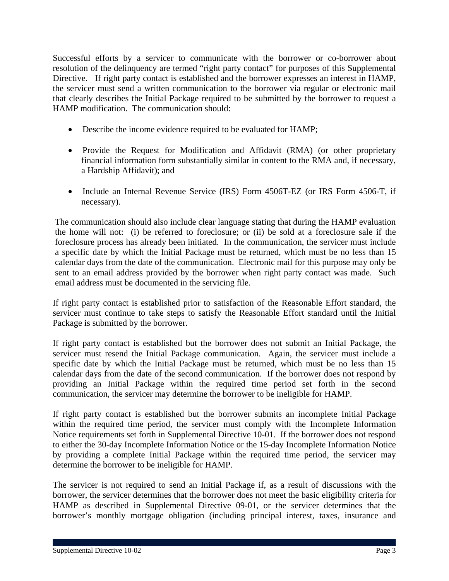Successful efforts by a servicer to communicate with the borrower or co-borrower about resolution of the delinquency are termed "right party contact" for purposes of this Supplemental Directive. If right party contact is established and the borrower expresses an interest in HAMP, the servicer must send a written communication to the borrower via regular or electronic mail that clearly describes the Initial Package required to be submitted by the borrower to request a HAMP modification. The communication should:

- Describe the income evidence required to be evaluated for HAMP;
- Provide the Request for Modification and Affidavit (RMA) (or other proprietary financial information form substantially similar in content to the RMA and, if necessary, a Hardship Affidavit); and
- Include an Internal Revenue Service (IRS) Form 4506T-EZ (or IRS Form 4506-T, if necessary).

The communication should also include clear language stating that during the HAMP evaluation the home will not: (i) be referred to foreclosure; or (ii) be sold at a foreclosure sale if the foreclosure process has already been initiated. In the communication, the servicer must include a specific date by which the Initial Package must be returned, which must be no less than 15 calendar days from the date of the communication. Electronic mail for this purpose may only be sent to an email address provided by the borrower when right party contact was made. Such email address must be documented in the servicing file.

If right party contact is established prior to satisfaction of the Reasonable Effort standard, the servicer must continue to take steps to satisfy the Reasonable Effort standard until the Initial Package is submitted by the borrower.

If right party contact is established but the borrower does not submit an Initial Package, the servicer must resend the Initial Package communication. Again, the servicer must include a specific date by which the Initial Package must be returned, which must be no less than 15 calendar days from the date of the second communication. If the borrower does not respond by providing an Initial Package within the required time period set forth in the second communication, the servicer may determine the borrower to be ineligible for HAMP.

If right party contact is established but the borrower submits an incomplete Initial Package within the required time period, the servicer must comply with the Incomplete Information Notice requirements set forth in Supplemental Directive 10-01. If the borrower does not respond to either the 30-day Incomplete Information Notice or the 15-day Incomplete Information Notice by providing a complete Initial Package within the required time period, the servicer may determine the borrower to be ineligible for HAMP.

The servicer is not required to send an Initial Package if, as a result of discussions with the borrower, the servicer determines that the borrower does not meet the basic eligibility criteria for HAMP as described in Supplemental Directive 09-01, or the servicer determines that the borrower's monthly mortgage obligation (including principal interest, taxes, insurance and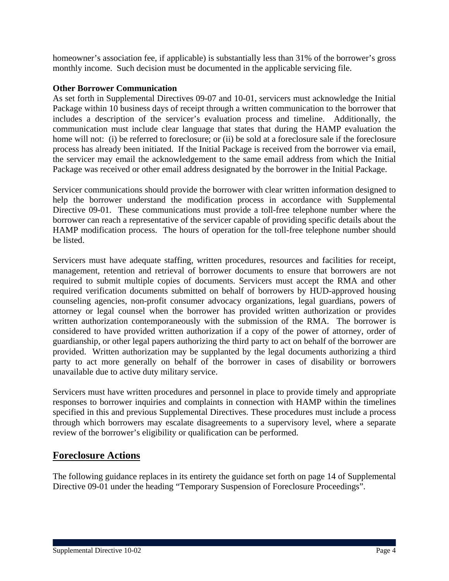homeowner's association fee, if applicable) is substantially less than 31% of the borrower's gross monthly income. Such decision must be documented in the applicable servicing file.

## **Other Borrower Communication**

As set forth in Supplemental Directives 09-07 and 10-01, servicers must acknowledge the Initial Package within 10 business days of receipt through a written communication to the borrower that includes a description of the servicer's evaluation process and timeline. Additionally, the communication must include clear language that states that during the HAMP evaluation the home will not: (i) be referred to foreclosure; or (ii) be sold at a foreclosure sale if the foreclosure process has already been initiated. If the Initial Package is received from the borrower via email, the servicer may email the acknowledgement to the same email address from which the Initial Package was received or other email address designated by the borrower in the Initial Package.

Servicer communications should provide the borrower with clear written information designed to help the borrower understand the modification process in accordance with Supplemental Directive 09-01. These communications must provide a toll-free telephone number where the borrower can reach a representative of the servicer capable of providing specific details about the HAMP modification process. The hours of operation for the toll-free telephone number should be listed.

Servicers must have adequate staffing, written procedures, resources and facilities for receipt, management, retention and retrieval of borrower documents to ensure that borrowers are not required to submit multiple copies of documents. Servicers must accept the RMA and other required verification documents submitted on behalf of borrowers by HUD-approved housing counseling agencies, non-profit consumer advocacy organizations, legal guardians, powers of attorney or legal counsel when the borrower has provided written authorization or provides written authorization contemporaneously with the submission of the RMA. The borrower is considered to have provided written authorization if a copy of the power of attorney, order of guardianship, or other legal papers authorizing the third party to act on behalf of the borrower are provided. Written authorization may be supplanted by the legal documents authorizing a third party to act more generally on behalf of the borrower in cases of disability or borrowers unavailable due to active duty military service.

Servicers must have written procedures and personnel in place to provide timely and appropriate responses to borrower inquiries and complaints in connection with HAMP within the timelines specified in this and previous Supplemental Directives. These procedures must include a process through which borrowers may escalate disagreements to a supervisory level, where a separate review of the borrower's eligibility or qualification can be performed.

## **Foreclosure Actions**

The following guidance replaces in its entirety the guidance set forth on page 14 of Supplemental Directive 09-01 under the heading "Temporary Suspension of Foreclosure Proceedings".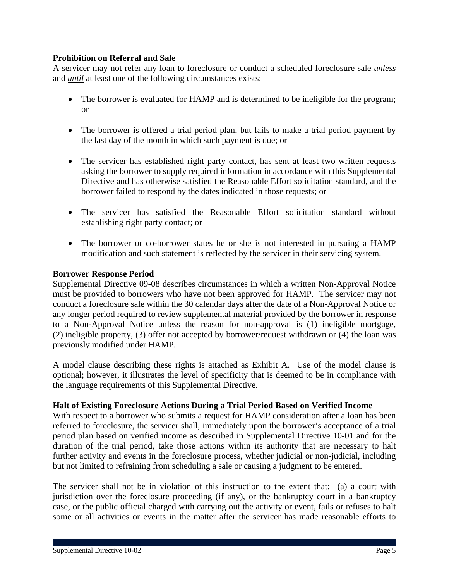## **Prohibition on Referral and Sale**

A servicer may not refer any loan to foreclosure or conduct a scheduled foreclosure sale *unless* and *until* at least one of the following circumstances exists:

- The borrower is evaluated for HAMP and is determined to be ineligible for the program; or
- The borrower is offered a trial period plan, but fails to make a trial period payment by the last day of the month in which such payment is due; or
- The servicer has established right party contact, has sent at least two written requests asking the borrower to supply required information in accordance with this Supplemental Directive and has otherwise satisfied the Reasonable Effort solicitation standard, and the borrower failed to respond by the dates indicated in those requests; or
- The servicer has satisfied the Reasonable Effort solicitation standard without establishing right party contact; or
- The borrower or co-borrower states he or she is not interested in pursuing a HAMP modification and such statement is reflected by the servicer in their servicing system.

### **Borrower Response Period**

Supplemental Directive 09-08 describes circumstances in which a written Non-Approval Notice must be provided to borrowers who have not been approved for HAMP. The servicer may not conduct a foreclosure sale within the 30 calendar days after the date of a Non-Approval Notice or any longer period required to review supplemental material provided by the borrower in response to a Non-Approval Notice unless the reason for non-approval is (1) ineligible mortgage, (2) ineligible property, (3) offer not accepted by borrower/request withdrawn or (4) the loan was previously modified under HAMP.

A model clause describing these rights is attached as Exhibit A. Use of the model clause is optional; however, it illustrates the level of specificity that is deemed to be in compliance with the language requirements of this Supplemental Directive.

### **Halt of Existing Foreclosure Actions During a Trial Period Based on Verified Income**

With respect to a borrower who submits a request for HAMP consideration after a loan has been referred to foreclosure, the servicer shall, immediately upon the borrower's acceptance of a trial period plan based on verified income as described in Supplemental Directive 10-01 and for the duration of the trial period, take those actions within its authority that are necessary to halt further activity and events in the foreclosure process, whether judicial or non-judicial, including but not limited to refraining from scheduling a sale or causing a judgment to be entered.

The servicer shall not be in violation of this instruction to the extent that: (a) a court with jurisdiction over the foreclosure proceeding (if any), or the bankruptcy court in a bankruptcy case, or the public official charged with carrying out the activity or event, fails or refuses to halt some or all activities or events in the matter after the servicer has made reasonable efforts to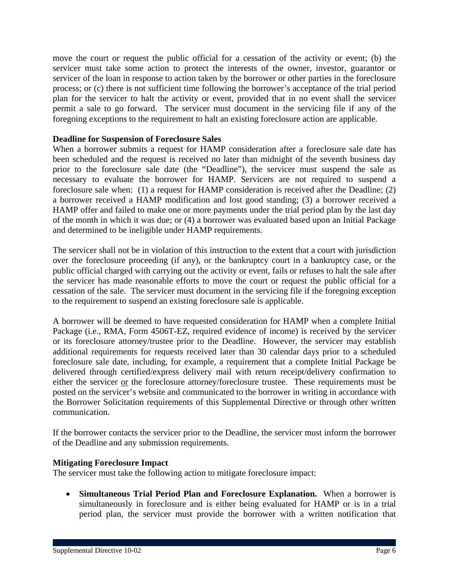move the court or request the public official for a cessation of the activity or event; (b) the servicer must take some action to protect the interests of the owner, investor, guarantor or servicer of the loan in response to action taken by the borrower or other parties in the foreclosure process; or (c) there is not sufficient time following the borrower's acceptance of the trial period plan for the servicer to halt the activity or event, provided that in no event shall the servicer permit a sale to go forward. The servicer must document in the servicing file if any of the foregoing exceptions to the requirement to halt an existing foreclosure action are applicable.

## **Deadline for Suspension of Foreclosure Sales**

When a borrower submits a request for HAMP consideration after a foreclosure sale date has been scheduled and the request is received no later than midnight of the seventh business day prior to the foreclosure sale date (the "Deadline"), the servicer must suspend the sale as necessary to evaluate the borrower for HAMP. Servicers are not required to suspend a foreclosure sale when: (1) a request for HAMP consideration is received after the Deadline; (2) a borrower received a HAMP modification and lost good standing; (3) a borrower received a HAMP offer and failed to make one or more payments under the trial period plan by the last day of the month in which it was due; or (4) a borrower was evaluated based upon an Initial Package and determined to be ineligible under HAMP requirements.

The servicer shall not be in violation of this instruction to the extent that a court with jurisdiction over the foreclosure proceeding (if any), or the bankruptcy court in a bankruptcy case, or the public official charged with carrying out the activity or event, fails or refuses to halt the sale after the servicer has made reasonable efforts to move the court or request the public official for a cessation of the sale. The servicer must document in the servicing file if the foregoing exception to the requirement to suspend an existing foreclosure sale is applicable.

A borrower will be deemed to have requested consideration for HAMP when a complete Initial Package (i.e., RMA, Form 4506T-EZ, required evidence of income) is received by the servicer or its foreclosure attorney/trustee prior to the Deadline. However, the servicer may establish additional requirements for requests received later than 30 calendar days prior to a scheduled foreclosure sale date, including, for example, a requirement that a complete Initial Package be delivered through certified/express delivery mail with return receipt/delivery confirmation to either the servicer or the foreclosure attorney/foreclosure trustee. These requirements must be posted on the servicer's website and communicated to the borrower in writing in accordance with the Borrower Solicitation requirements of this Supplemental Directive or through other written communication.

If the borrower contacts the servicer prior to the Deadline, the servicer must inform the borrower of the Deadline and any submission requirements.

### **Mitigating Foreclosure Impact**

The servicer must take the following action to mitigate foreclosure impact:

 **Simultaneous Trial Period Plan and Foreclosure Explanation.** When a borrower is simultaneously in foreclosure and is either being evaluated for HAMP or is in a trial period plan, the servicer must provide the borrower with a written notification that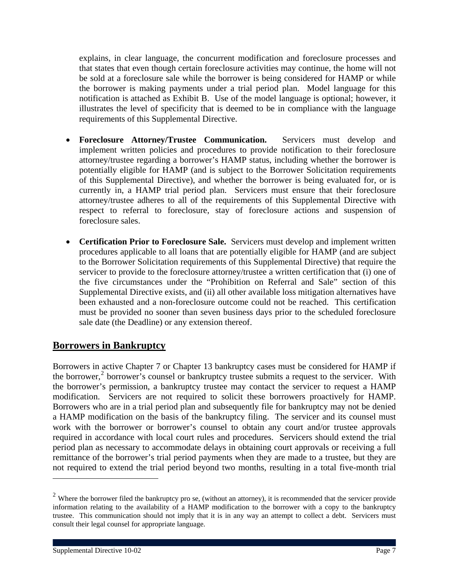explains, in clear language, the concurrent modification and foreclosure processes and that states that even though certain foreclosure activities may continue, the home will not be sold at a foreclosure sale while the borrower is being considered for HAMP or while the borrower is making payments under a trial period plan. Model language for this notification is attached as Exhibit B. Use of the model language is optional; however, it illustrates the level of specificity that is deemed to be in compliance with the language requirements of this Supplemental Directive.

- **Foreclosure Attorney/Trustee Communication.** Servicers must develop and implement written policies and procedures to provide notification to their foreclosure attorney/trustee regarding a borrower's HAMP status, including whether the borrower is potentially eligible for HAMP (and is subject to the Borrower Solicitation requirements of this Supplemental Directive), and whether the borrower is being evaluated for, or is currently in, a HAMP trial period plan. Servicers must ensure that their foreclosure attorney/trustee adheres to all of the requirements of this Supplemental Directive with respect to referral to foreclosure, stay of foreclosure actions and suspension of foreclosure sales.
- **Certification Prior to Foreclosure Sale.** Servicers must develop and implement written procedures applicable to all loans that are potentially eligible for HAMP (and are subject to the Borrower Solicitation requirements of this Supplemental Directive) that require the servicer to provide to the foreclosure attorney/trustee a written certification that (i) one of the five circumstances under the "Prohibition on Referral and Sale" section of this Supplemental Directive exists, and (ii) all other available loss mitigation alternatives have been exhausted and a non-foreclosure outcome could not be reached. This certification must be provided no sooner than seven business days prior to the scheduled foreclosure sale date (the Deadline) or any extension thereof.

## **Borrowers in Bankruptcy**

Borrowers in active Chapter 7 or Chapter 13 bankruptcy cases must be considered for HAMP if the borrower,<sup>[2](#page-6-0)</sup> borrower's counsel or bankruptcy trustee submits a request to the servicer. With the borrower's permission, a bankruptcy trustee may contact the servicer to request a HAMP modification. Servicers are not required to solicit these borrowers proactively for HAMP. Borrowers who are in a trial period plan and subsequently file for bankruptcy may not be denied a HAMP modification on the basis of the bankruptcy filing. The servicer and its counsel must work with the borrower or borrower's counsel to obtain any court and/or trustee approvals required in accordance with local court rules and procedures. Servicers should extend the trial period plan as necessary to accommodate delays in obtaining court approvals or receiving a full remittance of the borrower's trial period payments when they are made to a trustee, but they are not required to extend the trial period beyond two months, resulting in a total five-month trial

 $\overline{a}$ 

<span id="page-6-0"></span> $2$  Where the borrower filed the bankruptcy pro se, (without an attorney), it is recommended that the servicer provide information relating to the availability of a HAMP modification to the borrower with a copy to the bankruptcy trustee. This communication should not imply that it is in any way an attempt to collect a debt. Servicers must consult their legal counsel for appropriate language.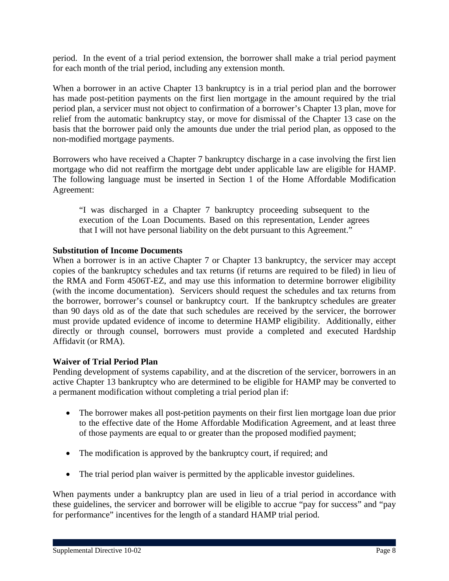period. In the event of a trial period extension, the borrower shall make a trial period payment for each month of the trial period, including any extension month.

When a borrower in an active Chapter 13 bankruptcy is in a trial period plan and the borrower has made post-petition payments on the first lien mortgage in the amount required by the trial period plan, a servicer must not object to confirmation of a borrower's Chapter 13 plan, move for relief from the automatic bankruptcy stay, or move for dismissal of the Chapter 13 case on the basis that the borrower paid only the amounts due under the trial period plan, as opposed to the non-modified mortgage payments.

Borrowers who have received a Chapter 7 bankruptcy discharge in a case involving the first lien mortgage who did not reaffirm the mortgage debt under applicable law are eligible for HAMP. The following language must be inserted in Section 1 of the Home Affordable Modification Agreement:

"I was discharged in a Chapter 7 bankruptcy proceeding subsequent to the execution of the Loan Documents. Based on this representation, Lender agrees that I will not have personal liability on the debt pursuant to this Agreement."

## **Substitution of Income Documents**

When a borrower is in an active Chapter 7 or Chapter 13 bankruptcy, the servicer may accept copies of the bankruptcy schedules and tax returns (if returns are required to be filed) in lieu of the RMA and Form 4506T-EZ, and may use this information to determine borrower eligibility (with the income documentation). Servicers should request the schedules and tax returns from the borrower, borrower's counsel or bankruptcy court. If the bankruptcy schedules are greater than 90 days old as of the date that such schedules are received by the servicer, the borrower must provide updated evidence of income to determine HAMP eligibility. Additionally, either directly or through counsel, borrowers must provide a completed and executed Hardship Affidavit (or RMA).

### **Waiver of Trial Period Plan**

Pending development of systems capability, and at the discretion of the servicer, borrowers in an active Chapter 13 bankruptcy who are determined to be eligible for HAMP may be converted to a permanent modification without completing a trial period plan if:

- The borrower makes all post-petition payments on their first lien mortgage loan due prior to the effective date of the Home Affordable Modification Agreement, and at least three of those payments are equal to or greater than the proposed modified payment;
- The modification is approved by the bankruptcy court, if required; and
- The trial period plan waiver is permitted by the applicable investor guidelines.

When payments under a bankruptcy plan are used in lieu of a trial period in accordance with these guidelines, the servicer and borrower will be eligible to accrue "pay for success" and "pay for performance" incentives for the length of a standard HAMP trial period.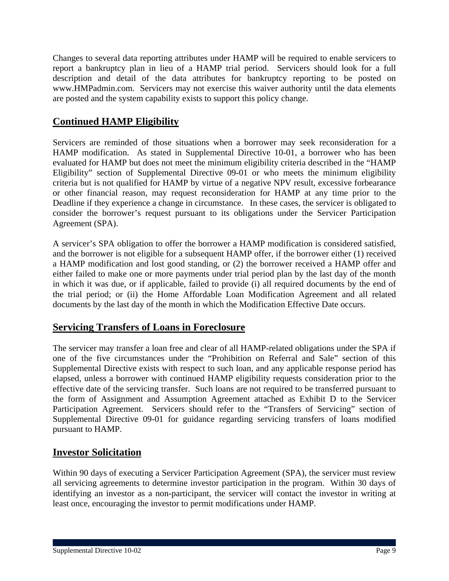Changes to several data reporting attributes under HAMP will be required to enable servicers to report a bankruptcy plan in lieu of a HAMP trial period. Servicers should look for a full description and detail of the data attributes for bankruptcy reporting to be posted on www.HMPadmin.com. Servicers may not exercise this waiver authority until the data elements are posted and the system capability exists to support this policy change.

## **Continued HAMP Eligibility**

Servicers are reminded of those situations when a borrower may seek reconsideration for a HAMP modification. As stated in Supplemental Directive 10-01, a borrower who has been evaluated for HAMP but does not meet the minimum eligibility criteria described in the "HAMP Eligibility" section of Supplemental Directive 09-01 or who meets the minimum eligibility criteria but is not qualified for HAMP by virtue of a negative NPV result, excessive forbearance or other financial reason, may request reconsideration for HAMP at any time prior to the Deadline if they experience a change in circumstance. In these cases, the servicer is obligated to consider the borrower's request pursuant to its obligations under the Servicer Participation Agreement (SPA).

A servicer's SPA obligation to offer the borrower a HAMP modification is considered satisfied, and the borrower is not eligible for a subsequent HAMP offer, if the borrower either (1) received a HAMP modification and lost good standing, or (2) the borrower received a HAMP offer and either failed to make one or more payments under trial period plan by the last day of the month in which it was due, or if applicable, failed to provide (i) all required documents by the end of the trial period; or (ii) the Home Affordable Loan Modification Agreement and all related documents by the last day of the month in which the Modification Effective Date occurs.

## **Servicing Transfers of Loans in Foreclosure**

The servicer may transfer a loan free and clear of all HAMP-related obligations under the SPA if one of the five circumstances under the "Prohibition on Referral and Sale" section of this Supplemental Directive exists with respect to such loan, and any applicable response period has elapsed, unless a borrower with continued HAMP eligibility requests consideration prior to the effective date of the servicing transfer. Such loans are not required to be transferred pursuant to the form of Assignment and Assumption Agreement attached as Exhibit D to the Servicer Participation Agreement. Servicers should refer to the "Transfers of Servicing" section of Supplemental Directive 09-01 for guidance regarding servicing transfers of loans modified pursuant to HAMP.

## **Investor Solicitation**

Within 90 days of executing a Servicer Participation Agreement (SPA), the servicer must review all servicing agreements to determine investor participation in the program. Within 30 days of identifying an investor as a non-participant, the servicer will contact the investor in writing at least once, encouraging the investor to permit modifications under HAMP.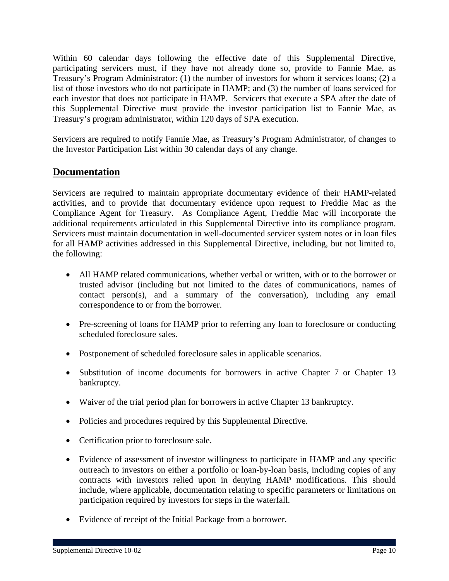Within 60 calendar days following the effective date of this Supplemental Directive, participating servicers must, if they have not already done so, provide to Fannie Mae, as Treasury's Program Administrator: (1) the number of investors for whom it services loans; (2) a list of those investors who do not participate in HAMP; and (3) the number of loans serviced for each investor that does not participate in HAMP. Servicers that execute a SPA after the date of this Supplemental Directive must provide the investor participation list to Fannie Mae, as Treasury's program administrator, within 120 days of SPA execution.

Servicers are required to notify Fannie Mae, as Treasury's Program Administrator, of changes to the Investor Participation List within 30 calendar days of any change.

## **Documentation**

Servicers are required to maintain appropriate documentary evidence of their HAMP-related activities, and to provide that documentary evidence upon request to Freddie Mac as the Compliance Agent for Treasury. As Compliance Agent, Freddie Mac will incorporate the additional requirements articulated in this Supplemental Directive into its compliance program. Servicers must maintain documentation in well-documented servicer system notes or in loan files for all HAMP activities addressed in this Supplemental Directive, including, but not limited to, the following:

- All HAMP related communications, whether verbal or written, with or to the borrower or trusted advisor (including but not limited to the dates of communications, names of contact person(s), and a summary of the conversation), including any email correspondence to or from the borrower.
- Pre-screening of loans for HAMP prior to referring any loan to foreclosure or conducting scheduled foreclosure sales.
- Postponement of scheduled foreclosure sales in applicable scenarios.
- Substitution of income documents for borrowers in active Chapter 7 or Chapter 13 bankruptcy.
- Waiver of the trial period plan for borrowers in active Chapter 13 bankruptcy.
- Policies and procedures required by this Supplemental Directive.
- Certification prior to foreclosure sale.
- Evidence of assessment of investor willingness to participate in HAMP and any specific outreach to investors on either a portfolio or loan-by-loan basis, including copies of any contracts with investors relied upon in denying HAMP modifications. This should include, where applicable, documentation relating to specific parameters or limitations on participation required by investors for steps in the waterfall.
- Evidence of receipt of the Initial Package from a borrower.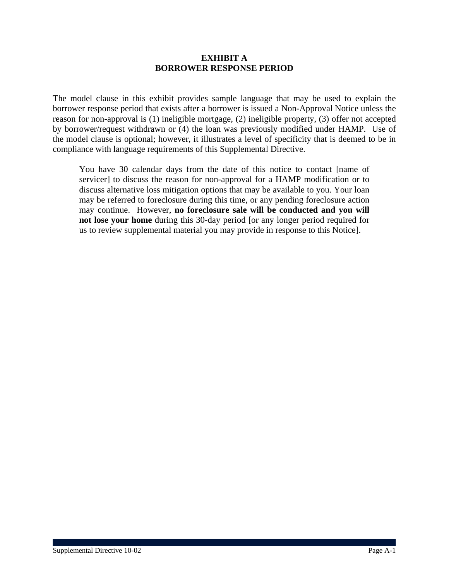### **EXHIBIT A BORROWER RESPONSE PERIOD**

The model clause in this exhibit provides sample language that may be used to explain the borrower response period that exists after a borrower is issued a Non-Approval Notice unless the reason for non-approval is (1) ineligible mortgage, (2) ineligible property, (3) offer not accepted by borrower/request withdrawn or (4) the loan was previously modified under HAMP. Use of the model clause is optional; however, it illustrates a level of specificity that is deemed to be in compliance with language requirements of this Supplemental Directive.

You have 30 calendar days from the date of this notice to contact [name of servicer] to discuss the reason for non-approval for a HAMP modification or to discuss alternative loss mitigation options that may be available to you. Your loan may be referred to foreclosure during this time, or any pending foreclosure action may continue. However, **no foreclosure sale will be conducted and you will not lose your home** during this 30-day period [or any longer period required for us to review supplemental material you may provide in response to this Notice].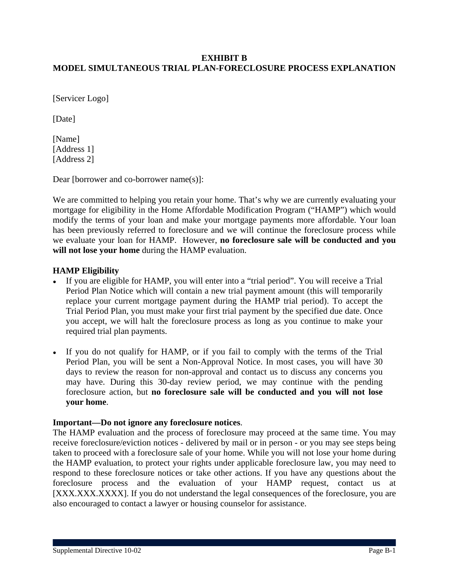## **EXHIBIT B MODEL SIMULTANEOUS TRIAL PLAN-FORECLOSURE PROCESS EXPLANATION**

[Servicer Logo]

[Date]

[Name] [Address 1] [Address 2]

Dear [borrower and co-borrower name(s)]:

We are committed to helping you retain your home. That's why we are currently evaluating your mortgage for eligibility in the Home Affordable Modification Program ("HAMP") which would modify the terms of your loan and make your mortgage payments more affordable. Your loan has been previously referred to foreclosure and we will continue the foreclosure process while we evaluate your loan for HAMP. However, **no foreclosure sale will be conducted and you will not lose your home** during the HAMP evaluation.

### **HAMP Eligibility**

- If you are eligible for HAMP, you will enter into a "trial period". You will receive a Trial Period Plan Notice which will contain a new trial payment amount (this will temporarily replace your current mortgage payment during the HAMP trial period). To accept the Trial Period Plan, you must make your first trial payment by the specified due date. Once you accept, we will halt the foreclosure process as long as you continue to make your required trial plan payments.
- **●** If you do not qualify for HAMP, or if you fail to comply with the terms of the Trial Period Plan, you will be sent a Non-Approval Notice. In most cases, you will have 30 days to review the reason for non-approval and contact us to discuss any concerns you may have. During this 30-day review period, we may continue with the pending foreclosure action, but **no foreclosure sale will be conducted and you will not lose your home**.

### **Important—Do not ignore any foreclosure notices**.

The HAMP evaluation and the process of foreclosure may proceed at the same time. You may receive foreclosure/eviction notices - delivered by mail or in person - or you may see steps being taken to proceed with a foreclosure sale of your home. While you will not lose your home during the HAMP evaluation, to protect your rights under applicable foreclosure law, you may need to respond to these foreclosure notices or take other actions. If you have any questions about the foreclosure process and the evaluation of your HAMP request, contact us at [XXX.XXX.XXXX]. If you do not understand the legal consequences of the foreclosure, you are also encouraged to contact a lawyer or housing counselor for assistance.